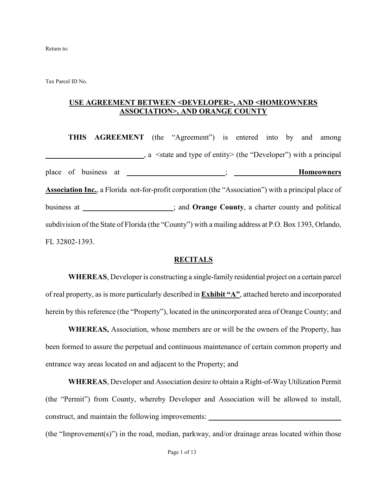Return to:

Tax Parcel ID No.

#### **USE AGREEMENT BETWEEN <DEVELOPER>, AND <HOMEOWNERS ASSOCIATION>, AND ORANGE COUNTY**

**THIS AGREEMENT** (the "Agreement") is entered into by and among **\_\_\_\_\_\_\_\_\_\_\_\_\_\_\_\_\_\_\_\_\_\_\_\_\_\_**, a <state and type of entity> (the "Developer") with a principal place of business at \_\_\_\_\_\_\_\_\_\_\_\_\_\_\_\_\_\_\_\_\_\_\_\_\_\_; **\_\_\_\_\_\_\_\_\_\_\_\_\_\_\_\_\_Homeowners Association Inc.**, a Florida not-for-profit corporation (the "Association") with a principal place of business at \_\_\_\_\_\_\_\_\_\_\_\_\_\_\_\_\_\_\_\_\_\_\_\_; and **Orange County**, a charter county and political subdivision of the State of Florida (the "County") with a mailing address at P.O. Box 1393, Orlando, FL 32802-1393.

#### **RECITALS**

**WHEREAS**, Developer is constructing a single-family residential project on a certain parcel of real property, as is more particularly described in **Exhibit "A"**, attached hereto and incorporated herein by this reference (the "Property"), located in the unincorporated area of Orange County; and

**WHEREAS,** Association, whose members are or will be the owners of the Property, has been formed to assure the perpetual and continuous maintenance of certain common property and entrance way areas located on and adjacent to the Property; and

**WHEREAS**, Developer and Association desire to obtain a Right-of-Way Utilization Permit (the "Permit") from County, whereby Developer and Association will be allowed to install, construct, and maintain the following improvements: *\_\_\_\_\_\_\_\_\_\_\_\_\_\_\_\_\_\_\_\_\_\_\_\_\_\_\_* 

(the "Improvement(s)") in the road, median, parkway, and/or drainage areas located within those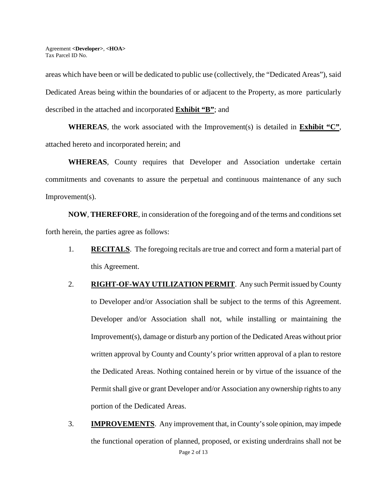areas which have been or will be dedicated to public use (collectively, the "Dedicated Areas"), said Dedicated Areas being within the boundaries of or adjacent to the Property, as more particularly described in the attached and incorporated **Exhibit "B"**; and

**WHEREAS**, the work associated with the Improvement(s) is detailed in **Exhibit "C"**, attached hereto and incorporated herein; and

**WHEREAS**, County requires that Developer and Association undertake certain commitments and covenants to assure the perpetual and continuous maintenance of any such Improvement(s).

**NOW**, **THEREFORE**, in consideration of the foregoing and of the terms and conditions set forth herein, the parties agree as follows:

- 1. **RECITALS**. The foregoing recitals are true and correct and form a material part of this Agreement.
- 2. **RIGHT-OF-WAY UTILIZATION PERMIT**. Any such Permit issued by County to Developer and/or Association shall be subject to the terms of this Agreement. Developer and/or Association shall not, while installing or maintaining the Improvement(s), damage or disturb any portion of the Dedicated Areas without prior written approval by County and County's prior written approval of a plan to restore the Dedicated Areas. Nothing contained herein or by virtue of the issuance of the Permit shall give or grant Developer and/or Association any ownership rights to any portion of the Dedicated Areas.
- Page 2 of 13 3. **IMPROVEMENTS**. Any improvement that, in County's sole opinion, may impede the functional operation of planned, proposed, or existing underdrains shall not be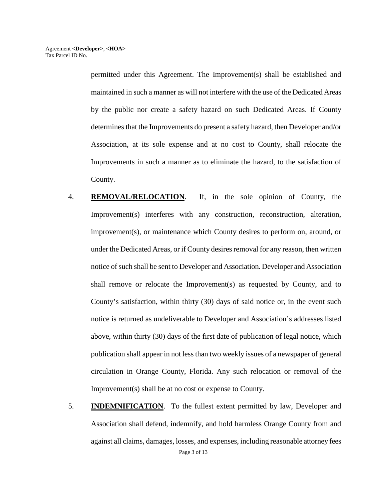permitted under this Agreement. The Improvement(s) shall be established and maintained in such a manner as will not interfere with the use of the Dedicated Areas by the public nor create a safety hazard on such Dedicated Areas. If County determines that the Improvements do present a safety hazard, then Developer and/or Association, at its sole expense and at no cost to County, shall relocate the Improvements in such a manner as to eliminate the hazard, to the satisfaction of County.

- 4. **REMOVAL/RELOCATION**. If, in the sole opinion of County, the Improvement(s) interferes with any construction, reconstruction, alteration, improvement(s), or maintenance which County desires to perform on, around, or under the Dedicated Areas, or if County desires removal for any reason, then written notice of such shall be sent to Developer and Association. Developer and Association shall remove or relocate the Improvement(s) as requested by County, and to County's satisfaction, within thirty (30) days of said notice or, in the event such notice is returned as undeliverable to Developer and Association's addresses listed above, within thirty (30) days of the first date of publication of legal notice, which publication shall appear in not less than two weekly issues of a newspaper of general circulation in Orange County, Florida. Any such relocation or removal of the Improvement(s) shall be at no cost or expense to County.
- Page 3 of 13 5. **INDEMNIFICATION**. To the fullest extent permitted by law, Developer and Association shall defend, indemnify, and hold harmless Orange County from and against all claims, damages, losses, and expenses, including reasonable attorney fees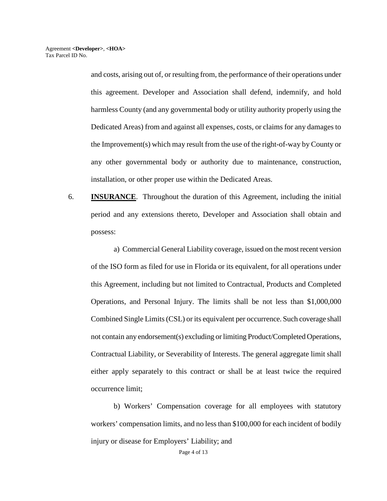and costs, arising out of, or resulting from, the performance of their operations under this agreement. Developer and Association shall defend, indemnify, and hold harmless County (and any governmental body or utility authority properly using the Dedicated Areas) from and against all expenses, costs, or claims for any damages to the Improvement(s) which may result from the use of the right-of-way by County or any other governmental body or authority due to maintenance, construction, installation, or other proper use within the Dedicated Areas.

6. **INSURANCE**. Throughout the duration of this Agreement, including the initial period and any extensions thereto, Developer and Association shall obtain and possess:

a) Commercial General Liability coverage, issued on the most recent version of the ISO form as filed for use in Florida or its equivalent, for all operations under this Agreement, including but not limited to Contractual, Products and Completed Operations, and Personal Injury. The limits shall be not less than \$1,000,000 Combined Single Limits (CSL) or its equivalent per occurrence. Such coverage shall not contain any endorsement(s) excluding or limiting Product/Completed Operations, Contractual Liability, or Severability of Interests. The general aggregate limit shall either apply separately to this contract or shall be at least twice the required occurrence limit;

 b) Workers' Compensation coverage for all employees with statutory workers' compensation limits, and no less than \$100,000 for each incident of bodily injury or disease for Employers' Liability; and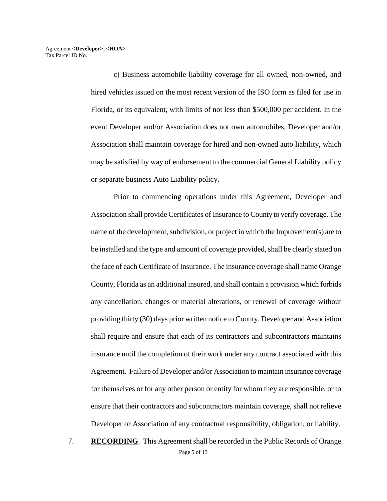c) Business automobile liability coverage for all owned, non-owned, and hired vehicles issued on the most recent version of the ISO form as filed for use in Florida, or its equivalent, with limits of not less than \$500,000 per accident. In the event Developer and/or Association does not own automobiles, Developer and/or Association shall maintain coverage for hired and non-owned auto liability, which may be satisfied by way of endorsement to the commercial General Liability policy or separate business Auto Liability policy.

Prior to commencing operations under this Agreement, Developer and Association shall provide Certificates of Insurance to County to verify coverage. The name of the development, subdivision, or project in which the Improvement(s) are to be installed and the type and amount of coverage provided, shall be clearly stated on the face of each Certificate of Insurance. The insurance coverage shall name Orange County, Florida as an additional insured, and shall contain a provision which forbids any cancellation, changes or material alterations, or renewal of coverage without providing thirty (30) days prior written notice to County. Developer and Association shall require and ensure that each of its contractors and subcontractors maintains insurance until the completion of their work under any contract associated with this Agreement. Failure of Developer and/or Association to maintain insurance coverage for themselves or for any other person or entity for whom they are responsible, or to ensure that their contractors and subcontractors maintain coverage, shall not relieve Developer or Association of any contractual responsibility, obligation, or liability.

Page 5 of 13 7. **RECORDING**. This Agreement shall be recorded in the Public Records of Orange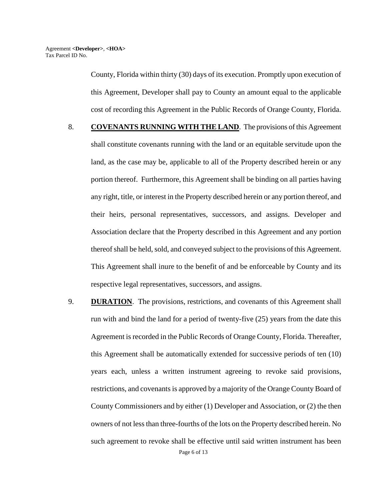County, Florida within thirty (30) days of its execution. Promptly upon execution of this Agreement, Developer shall pay to County an amount equal to the applicable cost of recording this Agreement in the Public Records of Orange County, Florida.

- 8. **COVENANTS RUNNING WITH THE LAND**. The provisions of this Agreement shall constitute covenants running with the land or an equitable servitude upon the land, as the case may be, applicable to all of the Property described herein or any portion thereof. Furthermore, this Agreement shall be binding on all parties having any right, title, or interest in the Property described herein or any portion thereof, and their heirs, personal representatives, successors, and assigns. Developer and Association declare that the Property described in this Agreement and any portion thereof shall be held, sold, and conveyed subject to the provisions of this Agreement. This Agreement shall inure to the benefit of and be enforceable by County and its respective legal representatives, successors, and assigns.
- 9. **DURATION**. The provisions, restrictions, and covenants of this Agreement shall run with and bind the land for a period of twenty-five (25) years from the date this Agreement is recorded in the Public Records of Orange County, Florida. Thereafter, this Agreement shall be automatically extended for successive periods of ten (10) years each, unless a written instrument agreeing to revoke said provisions, restrictions, and covenants is approved by a majority of the Orange County Board of County Commissioners and by either (1) Developer and Association, or (2) the then owners of not less than three-fourths of the lots on the Property described herein. No such agreement to revoke shall be effective until said written instrument has been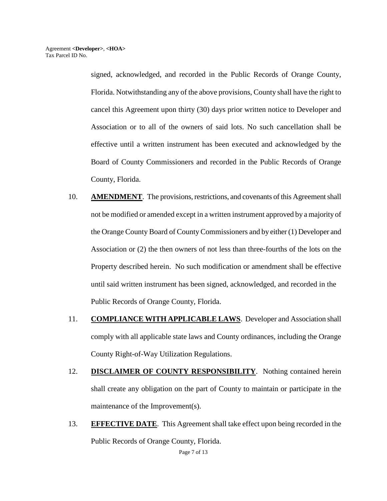signed, acknowledged, and recorded in the Public Records of Orange County, Florida. Notwithstanding any of the above provisions, County shall have the right to cancel this Agreement upon thirty (30) days prior written notice to Developer and Association or to all of the owners of said lots. No such cancellation shall be effective until a written instrument has been executed and acknowledged by the Board of County Commissioners and recorded in the Public Records of Orange County, Florida.

- 10. **AMENDMENT**. The provisions, restrictions, and covenants of this Agreement shall not be modified or amended except in a written instrument approved by a majority of the Orange County Board of County Commissioners and by either (1) Developer and Association or (2) the then owners of not less than three-fourths of the lots on the Property described herein. No such modification or amendment shall be effective until said written instrument has been signed, acknowledged, and recorded in the Public Records of Orange County, Florida.
- 11. **COMPLIANCE WITH APPLICABLE LAWS**. Developer and Association shall comply with all applicable state laws and County ordinances, including the Orange County Right-of-Way Utilization Regulations.
- 12. **DISCLAIMER OF COUNTY RESPONSIBILITY**. Nothing contained herein shall create any obligation on the part of County to maintain or participate in the maintenance of the Improvement(s).
- 13. **EFFECTIVE DATE**. This Agreement shall take effect upon being recorded in the Public Records of Orange County, Florida.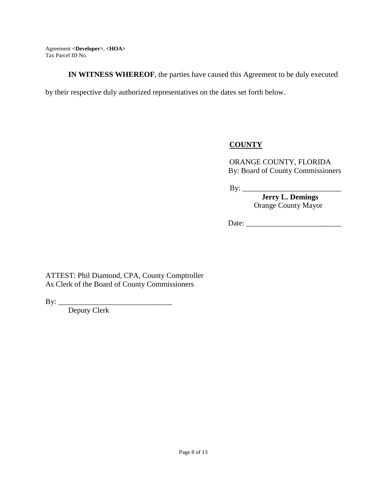**IN WITNESS WHEREOF**, the parties have caused this Agreement to be duly executed

by their respective duly authorized representatives on the dates set forth below.

# **COUNTY**

ORANGE COUNTY, FLORIDA By: Board of County Commissioners

By: \_\_\_\_\_\_\_\_\_\_\_\_\_\_\_\_\_\_\_\_\_\_\_\_\_\_

 **Jerry L. Demings**  Orange County Mayor

Date:

ATTEST: Phil Diamond, CPA, County Comptroller As Clerk of the Board of County Commissioners

By: \_\_\_\_\_\_\_\_\_\_\_\_\_\_\_\_\_\_\_\_\_\_\_\_\_\_\_\_\_\_

Deputy Clerk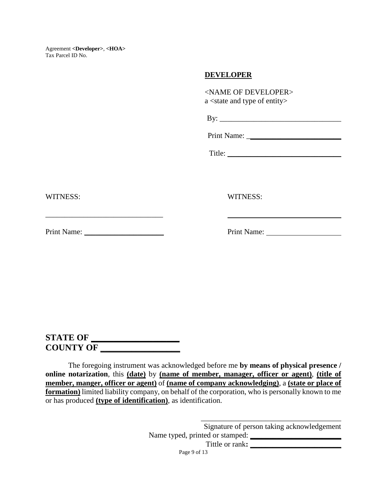### **DEVELOPER**

<NAME OF DEVELOPER> a <state and type of entity>

| B٧ |  |  |  |  |
|----|--|--|--|--|
|    |  |  |  |  |

Print Name:

Title:

WITNESS: WITNESS:

Print Name: \_\_\_\_\_\_\_\_\_\_\_\_\_\_\_\_\_\_\_\_\_ Print Name:

**STATE OF \_\_\_\_\_\_\_\_\_\_\_\_\_\_\_\_\_\_\_\_ COUNTY OF \_\_\_\_\_\_\_\_\_\_\_\_\_\_\_\_\_\_** 

The foregoing instrument was acknowledged before me **by means of physical presence / online notarization**, this **(date)** by **(name of member, manager, officer or agent)**, **(title of member, manger, officer or agent)** of **(name of company acknowledging)**, a **(state or place of formation)** limited liability company, on behalf of the corporation, who is personally known to me or has produced **(type of identification)**, as identification.

> \_\_\_\_\_\_\_\_\_\_\_\_\_\_\_\_\_\_\_\_\_\_\_\_\_\_\_\_\_\_\_\_\_\_\_\_\_ Signature of person taking acknowledgement Name typed, printed or stamped: **\_\_\_\_\_\_\_\_\_\_\_\_\_\_\_\_\_\_\_\_\_\_\_\_**

> > Tittle or rank:

Page 9 of 13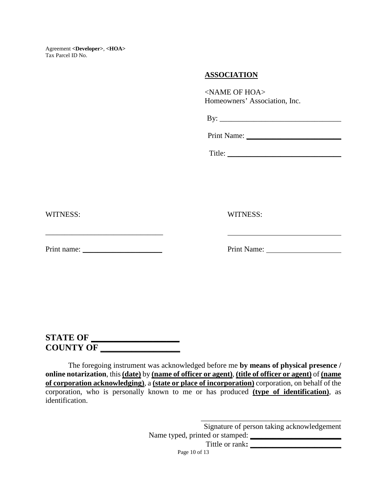### **ASSOCIATION**

<NAME OF HOA> Homeowners' Association, Inc.

 $\mathbf{B} \mathbf{y}$ :

Print Name:

Title: \_\_\_\_\_\_\_\_\_\_\_\_\_\_\_\_\_\_\_\_\_\_\_\_\_\_\_\_\_\_

WITNESS: WITNESS:

 $\_$ 

Print name: \_\_\_\_\_\_\_\_\_\_\_\_\_\_\_\_\_\_\_\_\_ Print Name:

**STATE OF \_\_\_\_\_\_\_\_\_\_\_\_\_\_\_\_\_\_\_\_ COUNTY OF \_\_\_\_\_\_\_\_\_\_\_\_\_\_\_\_\_\_** 

The foregoing instrument was acknowledged before me **by means of physical presence / online notarization**, this **(date)** by **(name of officer or agent)**, **(title of officer or agent)** of **(name of corporation acknowledging)**, a **(state or place of incorporation)** corporation, on behalf of the corporation, who is personally known to me or has produced **(type of identification)**, as identification.

> Signature of person taking acknowledgement Name typed, printed or stamped:  $\frac{1}{2}$

\_\_\_\_\_\_\_\_\_\_\_\_\_\_\_\_\_\_\_\_\_\_\_\_\_\_\_\_\_\_\_\_\_\_\_\_\_

Tittle or rank:

Page 10 of 13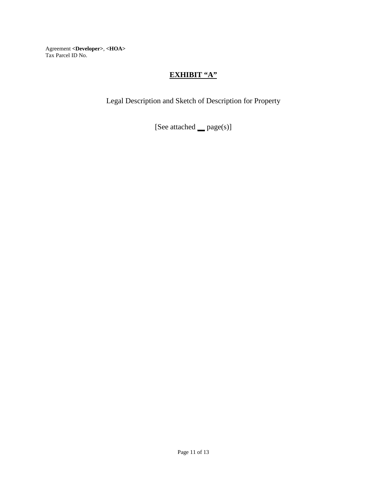# **EXHIBIT "A"**

Legal Description and Sketch of Description for Property

[See attached **\_\_** page(s)]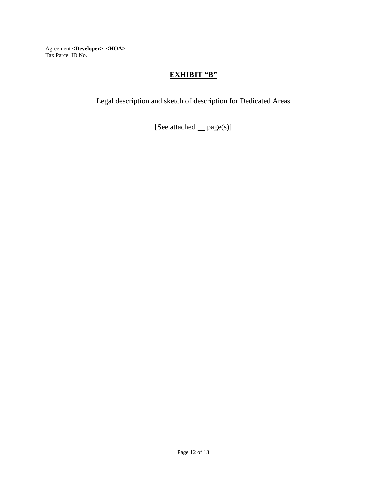## **EXHIBIT "B"**

Legal description and sketch of description for Dedicated Areas

[See attached **\_\_** page(s)]